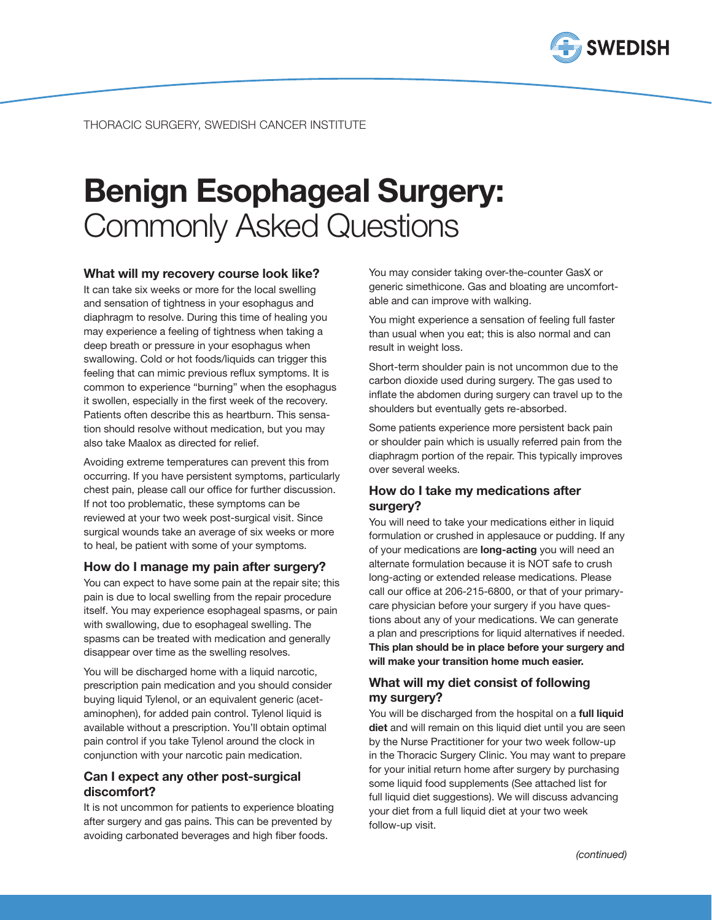

# Benign Esophageal Surgery: Commonly Asked Questions

#### What will my recovery course look like?

It can take six weeks or more for the local swelling and sensation of tightness in your esophagus and diaphragm to resolve. During this time of healing you may experience a feeling of tightness when taking a deep breath or pressure in your esophagus when swallowing. Cold or hot foods/liquids can trigger this feeling that can mimic previous reflux symptoms. It is common to experience "burning" when the esophagus it swollen, especially in the first week of the recovery. Patients often describe this as heartburn. This sensation should resolve without medication, but you may also take Maalox as directed for relief.

Avoiding extreme temperatures can prevent this from occurring. If you have persistent symptoms, particularly chest pain, please call our office for further discussion. If not too problematic, these symptoms can be reviewed at your two week post-surgical visit. Since surgical wounds take an average of six weeks or more to heal, be patient with some of your symptoms.

#### How do I manage my pain after surgery?

You can expect to have some pain at the repair site; this pain is due to local swelling from the repair procedure itself. You may experience esophageal spasms, or pain with swallowing, due to esophageal swelling. The spasms can be treated with medication and generally disappear over time as the swelling resolves.

You will be discharged home with a liquid narcotic, prescription pain medication and you should consider buying liquid Tylenol, or an equivalent generic (acetaminophen), for added pain control. Tylenol liquid is available without a prescription. You'll obtain optimal pain control if you take Tylenol around the clock in conjunction with your narcotic pain medication.

#### Can I expect any other post-surgical discomfort?

It is not uncommon for patients to experience bloating after surgery and gas pains. This can be prevented by avoiding carbonated beverages and high fiber foods.

You may consider taking over-the-counter GasX or generic simethicone. Gas and bloating are uncomfortable and can improve with walking.

You might experience a sensation of feeling full faster than usual when you eat; this is also normal and can result in weight loss.

Short-term shoulder pain is not uncommon due to the carbon dioxide used during surgery. The gas used to inflate the abdomen during surgery can travel up to the shoulders but eventually gets re-absorbed.

Some patients experience more persistent back pain or shoulder pain which is usually referred pain from the diaphragm portion of the repair. This typically improves over several weeks.

## How do I take my medications after surgery?

You will need to take your medications either in liquid formulation or crushed in applesauce or pudding. If any of your medications are long-acting you will need an alternate formulation because it is NOT safe to crush long-acting or extended release medications. Please call our office at 206-215-6800, or that of your primarycare physician before your surgery if you have questions about any of your medications. We can generate a plan and prescriptions for liquid alternatives if needed. This plan should be in place before your surgery and will make your transition home much easier.

# What will my diet consist of following my surgery?

You will be discharged from the hospital on a full liquid diet and will remain on this liquid diet until you are seen by the Nurse Practitioner for your two week follow-up in the Thoracic Surgery Clinic. You may want to prepare for your initial return home after surgery by purchasing some liquid food supplements (See attached list for full liquid diet suggestions). We will discuss advancing your diet from a full liquid diet at your two week follow-up visit.